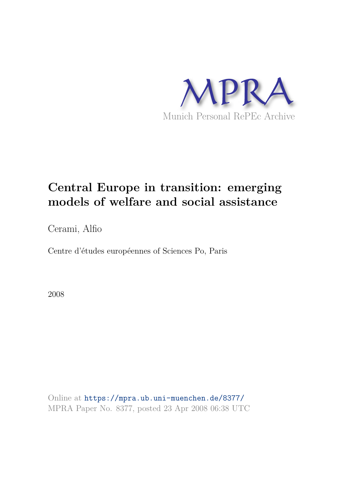

# **Central Europe in transition: emerging models of welfare and social assistance**

Cerami, Alfio

Centre d'études européennes of Sciences Po, Paris

2008

Online at https://mpra.ub.uni-muenchen.de/8377/ MPRA Paper No. 8377, posted 23 Apr 2008 06:38 UTC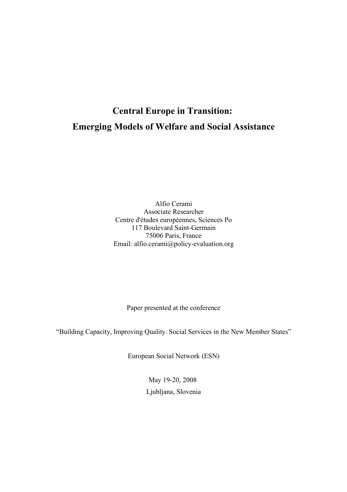## **Central Europe in Transition: Emerging Models of Welfare and Social Assistance**

Alfio Cerami Associate Researcher Centre d'études européennes, Sciences Po 117 Boulevard Saint-Germain 75006 Paris, France Email: alfio.cerami@policy-evaluation.org

Paper presented at the conference

"Building Capacity, Improving Quality. Social Services in the New Member States"

European Social Network (ESN)

May 19-20, 2008 Ljubljana, Slovenia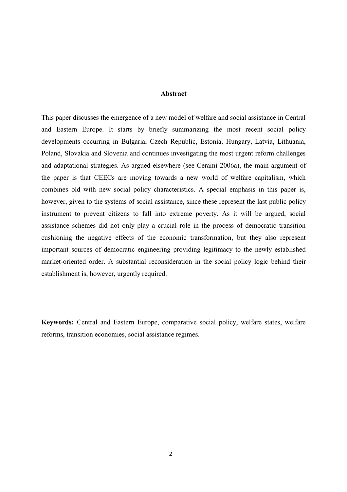### **Abstract**

This paper discusses the emergence of a new model of welfare and social assistance in Central and Eastern Europe. It starts by briefly summarizing the most recent social policy developments occurring in Bulgaria, Czech Republic, Estonia, Hungary, Latvia, Lithuania, Poland, Slovakia and Slovenia and continues investigating the most urgent reform challenges and adaptational strategies. As argued elsewhere (see Cerami 2006a), the main argument of the paper is that CEECs are moving towards a new world of welfare capitalism, which combines old with new social policy characteristics. A special emphasis in this paper is, however, given to the systems of social assistance, since these represent the last public policy instrument to prevent citizens to fall into extreme poverty. As it will be argued, social assistance schemes did not only play a crucial role in the process of democratic transition cushioning the negative effects of the economic transformation, but they also represent important sources of democratic engineering providing legitimacy to the newly established market-oriented order. A substantial reconsideration in the social policy logic behind their establishment is, however, urgently required.

**Keywords:** Central and Eastern Europe, comparative social policy, welfare states, welfare reforms, transition economies, social assistance regimes.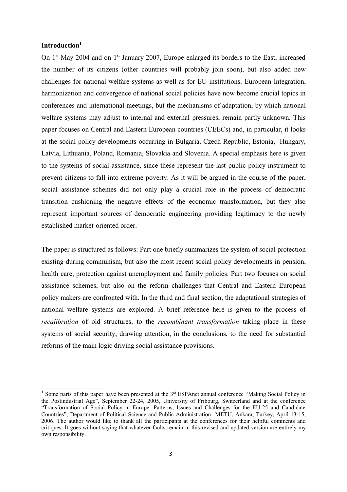### **Introduction<sup>1</sup>**

On  $1<sup>st</sup>$  May 2004 and on  $1<sup>st</sup>$  January 2007, Europe enlarged its borders to the East, increased the number of its citizens (other countries will probably join soon), but also added new challenges for national welfare systems as well as for EU institutions. European Integration, harmonization and convergence of national social policies have now become crucial topics in conferences and international meetings, but the mechanisms of adaptation, by which national welfare systems may adjust to internal and external pressures, remain partly unknown. This paper focuses on Central and Eastern European countries (CEECs) and, in particular, it looks at the social policy developments occurring in Bulgaria, Czech Republic, Estonia, Hungary, Latvia, Lithuania, Poland, Romania, Slovakia and Slovenia. A special emphasis here is given to the systems of social assistance, since these represent the last public policy instrument to prevent citizens to fall into extreme poverty. As it will be argued in the course of the paper, social assistance schemes did not only play a crucial role in the process of democratic transition cushioning the negative effects of the economic transformation, but they also represent important sources of democratic engineering providing legitimacy to the newly established market-oriented order.

The paper is structured as follows: Part one briefly summarizes the system of social protection existing during communism, but also the most recent social policy developments in pension, health care, protection against unemployment and family policies. Part two focuses on social assistance schemes, but also on the reform challenges that Central and Eastern European policy makers are confronted with. In the third and final section, the adaptational strategies of national welfare systems are explored. A brief reference here is given to the process of *recalibration* of old structures, to the *recombinant transformation* taking place in these systems of social security, drawing attention, in the conclusions, to the need for substantial reforms of the main logic driving social assistance provisions.

<sup>&</sup>lt;sup>1</sup> Some parts of this paper have been presented at the  $3<sup>rd</sup>$  ESPAnet annual conference "Making Social Policy in the Postindustrial Age", September 22-24, 2005, University of Fribourg, Switzerland and at the conference "Transformation of Social Policy in Europe: Patterns, Issues and Challenges for the EU-25 and Candidate Countries", Department of Political Science and Public Administration METU, Ankara, Turkey, April 13-15, 2006. The author would like to thank all the participants at the conferences for their helpful comments and critiques. It goes without saying that whatever faults remain in this revised and updated version are entirely my own responsibility.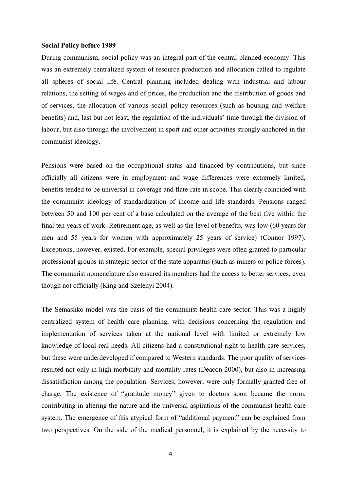### **Social Policy before 1989**

During communism, social policy was an integral part of the central planned economy. This was an extremely centralized system of resource production and allocation called to regulate all spheres of social life. Central planning included dealing with industrial and labour relations, the setting of wages and of prices, the production and the distribution of goods and of services, the allocation of various social policy resources (such as housing and welfare benefits) and, last but not least, the regulation of the individuals' time through the division of labour, but also through the involvement in sport and other activities strongly anchored in the communist ideology.

Pensions were based on the occupational status and financed by contributions, but since officially all citizens were in employment and wage differences were extremely limited, benefits tended to be universal in coverage and flate-rate in scope. This clearly coincided with the communist ideology of standardization of income and life standards. Pensions ranged between 50 and 100 per cent of a base calculated on the average of the best five within the final ten years of work. Retirement age, as well as the level of benefits, was low (60 years for men and 55 years for women with approximately 25 years of service) (Connor 1997). Exceptions, however, existed. For example, special privileges were often granted to particular professional groups in strategic sector of the state apparatus (such as miners or police forces). The communist nomenclature also ensured its members had the access to better services, even though not officially (King and Szelényi 2004).

The Semashko-model was the basis of the communist health care sector. This was a highly centralized system of health care planning, with decisions concerning the regulation and implementation of services taken at the national level with limited or extremely low knowledge of local real needs. All citizens had a constitutional right to health care services, but these were underdeveloped if compared to Western standards. The poor quality of services resulted not only in high morbidity and mortality rates (Deacon 2000), but also in increasing dissatisfaction among the population. Services, however, were only formally granted free of charge. The existence of "gratitude money" given to doctors soon became the norm, contributing in altering the nature and the universal aspirations of the communist health care system. The emergence of this atypical form of "additional payment" can be explained from two perspectives. On the side of the medical personnel, it is explained by the necessity to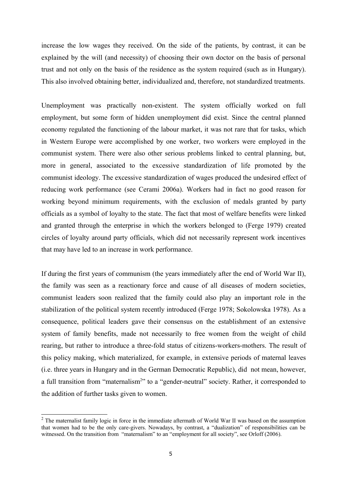increase the low wages they received. On the side of the patients, by contrast, it can be explained by the will (and necessity) of choosing their own doctor on the basis of personal trust and not only on the basis of the residence as the system required (such as in Hungary). This also involved obtaining better, individualized and, therefore, not standardized treatments.

Unemployment was practically non-existent. The system officially worked on full employment, but some form of hidden unemployment did exist. Since the central planned economy regulated the functioning of the labour market, it was not rare that for tasks, which in Western Europe were accomplished by one worker, two workers were employed in the communist system. There were also other serious problems linked to central planning, but, more in general, associated to the excessive standardization of life promoted by the communist ideology. The excessive standardization of wages produced the undesired effect of reducing work performance (see Cerami 2006a). Workers had in fact no good reason for working beyond minimum requirements, with the exclusion of medals granted by party officials as a symbol of loyalty to the state. The fact that most of welfare benefits were linked and granted through the enterprise in which the workers belonged to (Ferge 1979) created circles of loyalty around party officials, which did not necessarily represent work incentives that may have led to an increase in work performance.

If during the first years of communism (the years immediately after the end of World War II), the family was seen as a reactionary force and cause of all diseases of modern societies, communist leaders soon realized that the family could also play an important role in the stabilization of the political system recently introduced (Ferge 1978; Sokolowska 1978). As a consequence, political leaders gave their consensus on the establishment of an extensive system of family benefits, made not necessarily to free women from the weight of child rearing, but rather to introduce a three-fold status of citizens-workers-mothers. The result of this policy making, which materialized, for example, in extensive periods of maternal leaves (i.e. three years in Hungary and in the German Democratic Republic), did not mean, however, a full transition from "maternalism<sup>2</sup>" to a "gender-neutral" society. Rather, it corresponded to the addition of further tasks given to women.

 $2$  The maternalist family logic in force in the immediate aftermath of World War II was based on the assumption that women had to be the only care-givers. Nowadays, by contrast, a "dualization" of responsibilities can be witnessed. On the transition from "maternalism" to an "employment for all society", see Orloff (2006).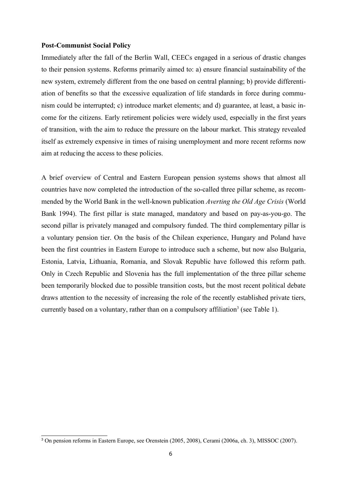### **Post-Communist Social Policy**

Immediately after the fall of the Berlin Wall, CEECs engaged in a serious of drastic changes to their pension systems. Reforms primarily aimed to: a) ensure financial sustainability of the new system, extremely different from the one based on central planning; b) provide differentiation of benefits so that the excessive equalization of life standards in force during communism could be interrupted; c) introduce market elements; and d) guarantee, at least, a basic income for the citizens. Early retirement policies were widely used, especially in the first years of transition, with the aim to reduce the pressure on the labour market. This strategy revealed itself as extremely expensive in times of raising unemployment and more recent reforms now aim at reducing the access to these policies.

A brief overview of Central and Eastern European pension systems shows that almost all countries have now completed the introduction of the so-called three pillar scheme, as recommended by the World Bank in the well-known publication *Averting the Old Age Crisis* (World Bank 1994). The first pillar is state managed, mandatory and based on pay-as-you-go. The second pillar is privately managed and compulsory funded. The third complementary pillar is a voluntary pension tier. On the basis of the Chilean experience, Hungary and Poland have been the first countries in Eastern Europe to introduce such a scheme, but now also Bulgaria, Estonia, Latvia, Lithuania, Romania, and Slovak Republic have followed this reform path. Only in Czech Republic and Slovenia has the full implementation of the three pillar scheme been temporarily blocked due to possible transition costs, but the most recent political debate draws attention to the necessity of increasing the role of the recently established private tiers, currently based on a voluntary, rather than on a compulsory affiliation<sup>3</sup> (see Table 1).

<sup>3</sup> On pension reforms in Eastern Europe, see Orenstein (2005, 2008), Cerami (2006a, ch. 3), MISSOC (2007).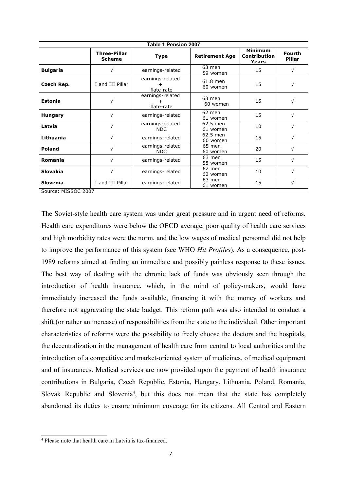| Table 1 Pension 2007 |                                      |                                |                                                |                         |            |  |  |  |  |  |  |
|----------------------|--------------------------------------|--------------------------------|------------------------------------------------|-------------------------|------------|--|--|--|--|--|--|
|                      | <b>Three-Pillar</b><br><b>Scheme</b> | <b>Type</b>                    | <b>Minimum</b><br><b>Contribution</b><br>Years | <b>Fourth</b><br>Pillar |            |  |  |  |  |  |  |
| <b>Bulgaria</b>      | V                                    | earnings-related               | 63 men<br>59 women                             | 15                      | $\sqrt{ }$ |  |  |  |  |  |  |
| Czech Rep.           | I and III Pillar                     | earnings-related<br>flate-rate | 61.8 men<br>60 women                           | 15                      | $\sqrt{ }$ |  |  |  |  |  |  |
| <b>Estonia</b>       | $\sqrt{}$                            | earnings-related<br>flate-rate | 63 men<br>60 women                             | 15                      | $\sqrt{}$  |  |  |  |  |  |  |
| <b>Hungary</b>       | $\sqrt{ }$                           | earnings-related               | 62 men<br>61 women                             | 15                      | $\sqrt{ }$ |  |  |  |  |  |  |
| Latvia               | $\sqrt{ }$                           | earnings-related<br><b>NDC</b> | 62.5 men<br>61 women                           |                         | $\sqrt{ }$ |  |  |  |  |  |  |
| Lithuania            | $\sqrt{}$                            | earnings-related               | 62.5 men<br>60 women                           | 15                      | $\sqrt{ }$ |  |  |  |  |  |  |
| <b>Poland</b>        | $\sqrt{ }$                           | earnings-related<br><b>NDC</b> | 65 men<br>60 women                             | 20                      | $\sqrt{ }$ |  |  |  |  |  |  |
| <b>Romania</b>       | $\sqrt{ }$                           | earnings-related               | 63 men<br>58 women                             | 15                      | $\sqrt{ }$ |  |  |  |  |  |  |
| <b>Slovakia</b>      | $\sqrt{ }$                           | earnings-related               | 62 men<br>62 women                             | 10                      | $\sqrt{ }$ |  |  |  |  |  |  |
| <b>Slovenia</b>      | I and III Pillar                     | earnings-related               | 63 men<br>61 women                             | 15                      | $\sqrt{ }$ |  |  |  |  |  |  |
| Source: MISSOC 2007  |                                      |                                |                                                |                         |            |  |  |  |  |  |  |

The Soviet-style health care system was under great pressure and in urgent need of reforms. Health care expenditures were below the OECD average, poor quality of health care services and high morbidity rates were the norm, and the low wages of medical personnel did not help to improve the performance of this system (see WHO *Hit Profiles*). As a consequence, post-1989 reforms aimed at finding an immediate and possibly painless response to these issues. The best way of dealing with the chronic lack of funds was obviously seen through the introduction of health insurance, which, in the mind of policy-makers, would have immediately increased the funds available, financing it with the money of workers and therefore not aggravating the state budget. This reform path was also intended to conduct a shift (or rather an increase) of responsibilities from the state to the individual. Other important characteristics of reforms were the possibility to freely choose the doctors and the hospitals, the decentralization in the management of health care from central to local authorities and the introduction of a competitive and market-oriented system of medicines, of medical equipment and of insurances. Medical services are now provided upon the payment of health insurance contributions in Bulgaria, Czech Republic, Estonia, Hungary, Lithuania, Poland, Romania, Slovak Republic and Slovenia<sup>4</sup>, but this does not mean that the state has completely abandoned its duties to ensure minimum coverage for its citizens. All Central and Eastern

<sup>4</sup> Please note that health care in Latvia is tax-financed.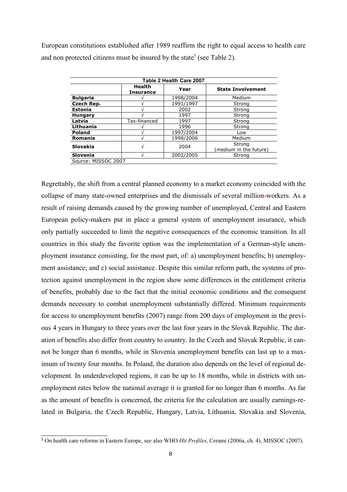European constitutions established after 1989 reaffirm the right to equal access to health care and non protected citizens must be insured by the state<sup>5</sup> (see Table 2).

| Table 2 Health Care 2007 |                                   |           |                                  |  |  |  |  |  |  |  |
|--------------------------|-----------------------------------|-----------|----------------------------------|--|--|--|--|--|--|--|
|                          | <b>Health</b><br><b>Insurance</b> | Year      | <b>State Involvement</b>         |  |  |  |  |  |  |  |
| <b>Bulgaria</b>          |                                   | 1998/2004 | Medium                           |  |  |  |  |  |  |  |
| Czech Rep.               |                                   | 1991/1997 | Strong                           |  |  |  |  |  |  |  |
| <b>Estonia</b>           |                                   | 2002      | Strong                           |  |  |  |  |  |  |  |
| <b>Hungary</b>           |                                   | 1997      | Strong                           |  |  |  |  |  |  |  |
| Latvia                   | Tax-financed                      | 1997      | Strong                           |  |  |  |  |  |  |  |
| Lithuania                |                                   | 1996      | Strong                           |  |  |  |  |  |  |  |
| <b>Poland</b>            |                                   | 1997/2004 | Low                              |  |  |  |  |  |  |  |
| <b>Romania</b>           |                                   | 1998/2006 | Medium                           |  |  |  |  |  |  |  |
| Slovakia                 | ν                                 | 2004      | Strong<br>(medium in the future) |  |  |  |  |  |  |  |
| <b>Slovenia</b>          |                                   | 2002/2005 | Strong                           |  |  |  |  |  |  |  |
| Source: MISSOC 2007      |                                   |           |                                  |  |  |  |  |  |  |  |

Regrettably, the shift from a central planned economy to a market economy coincided with the collapse of many state-owned enterprises and the dismissals of several million=workers. As a result of raising demands caused by the growing number of unemployed, Central and Eastern European policy-makers put in place a general system of unemployment insurance, which only partially succeeded to limit the negative consequences of the economic transition. In all countries in this study the favorite option was the implementation of a German-style unemployment insurance consisting, for the most part, of: a) unemployment benefits; b) unemployment assistance; and c) social assistance. Despite this similar reform path, the systems of protection against unemployment in the region show some differences in the entitlement criteria of benefits, probably due to the fact that the initial economic conditions and the consequent demands necessary to combat unemployment substantially differed. Minimum requirements for access to unemployment benefits (2007) range from 200 days of employment in the previous 4 years in Hungary to three years over the last four years in the Slovak Republic. The duration of benefits also differ from country to country. In the Czech and Slovak Republic, it cannot be longer than 6 months, while in Slovenia unemployment benefits can last up to a maximum of twenty four months. In Poland, the duration also depends on the level of regional development. In underdeveloped regions, it can be up to 18 months, while in districts with unemployment rates below the national average it is granted for no longer than 6 months. As far as the amount of benefits is concerned, the criteria for the calculation are usually earnings-related in Bulgaria, the Czech Republic, Hungary, Latvia, Lithuania, Slovakia and Slovenia,

<sup>5</sup> On health care reforms in Eastern Europe, see also WHO *Hit Profiles*, Cerami (2006a, ch. 4), MISSOC (2007).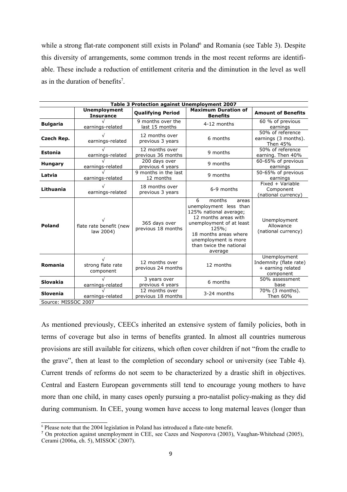while a strong flat-rate component still exists in Poland<sup>6</sup> and Romania (see Table 3). Despite this diversity of arrangements, some common trends in the most recent reforms are identifiable. These include a reduction of entitlement criteria and the diminution in the level as well as in the duration of benefits<sup>7</sup>.

| Table 3 Protection against Unemployment 2007 |                                                          |                                      |                                                                                                                                                                                                                              |                                                                          |  |  |  |  |  |  |
|----------------------------------------------|----------------------------------------------------------|--------------------------------------|------------------------------------------------------------------------------------------------------------------------------------------------------------------------------------------------------------------------------|--------------------------------------------------------------------------|--|--|--|--|--|--|
|                                              | <b>Unemployment</b><br><b>Insurance</b>                  | <b>Qualifying Period</b>             | <b>Maximum Duration of</b><br><b>Benefits</b>                                                                                                                                                                                | <b>Amount of Benefits</b>                                                |  |  |  |  |  |  |
| <b>Bulgaria</b>                              | earnings-related                                         | 9 months over the<br>last 15 months  | 4-12 months                                                                                                                                                                                                                  | 60 % of previous<br>earnings                                             |  |  |  |  |  |  |
| Czech Rep.                                   | earnings-related                                         | 12 months over<br>previous 3 years   | 6 months                                                                                                                                                                                                                     | $\overline{50\%}$ of reference<br>earnings (3 months).<br>Then 45%       |  |  |  |  |  |  |
| Estonia                                      | earnings-related                                         | 12 months over<br>previous 36 months | 9 months                                                                                                                                                                                                                     | 50% of reference<br>earning. Then 40%                                    |  |  |  |  |  |  |
| <b>Hungary</b>                               | earnings-related                                         | 200 days over<br>previous 4 years    | 9 months                                                                                                                                                                                                                     | 60-65% of previous<br>earnings                                           |  |  |  |  |  |  |
| Latvia                                       | earnings-related                                         | 9 months in the last<br>12 months    | 9 months                                                                                                                                                                                                                     | 50-65% of previous<br>earnings                                           |  |  |  |  |  |  |
| Lithuania                                    | earnings-related                                         | 18 months over<br>previous 3 years   | 6-9 months                                                                                                                                                                                                                   | $Fixed + Variable$<br>Component<br>(national currency)                   |  |  |  |  |  |  |
| <b>Poland</b>                                | flate rate benefit (new<br>law 2004)                     | 365 days over<br>previous 18 months  | 6<br>months<br>areas<br>unemployment less than<br>125% national average;<br>12 months areas with<br>unemployment of at least<br>125%:<br>18 months areas where<br>unemployment is more<br>than twice the national<br>average | Unemployment<br>Allowance<br>(national currency)                         |  |  |  |  |  |  |
| Romania                                      | strong flate rate<br>component                           | 12 months over<br>previous 24 months | 12 months                                                                                                                                                                                                                    | Unemployment<br>Indemnity (flate rate)<br>+ earning related<br>component |  |  |  |  |  |  |
| <b>Slovakia</b>                              | earnings-related                                         | 3 years over<br>previous 4 years     | 6 months                                                                                                                                                                                                                     | 50% assessment<br>base                                                   |  |  |  |  |  |  |
| <b>Slovenia</b>                              | 12 months over<br>previous 18 months<br>earnings-related |                                      | 3-24 months                                                                                                                                                                                                                  | 70% (3 months).<br>Then 60%                                              |  |  |  |  |  |  |
| Source: MISSOC 2007                          |                                                          |                                      |                                                                                                                                                                                                                              |                                                                          |  |  |  |  |  |  |

As mentioned previously, CEECs inherited an extensive system of family policies, both in terms of coverage but also in terms of benefits granted. In almost all countries numerous provisions are still available for citizens, which often cover children if not "from the cradle to the grave", then at least to the completion of secondary school or university (see Table 4). Current trends of reforms do not seem to be characterized by a drastic shift in objectives. Central and Eastern European governments still tend to encourage young mothers to have more than one child, in many cases openly pursuing a pro-natalist policy-making as they did during communism. In CEE, young women have access to long maternal leaves (longer than

<sup>&</sup>lt;sup>6</sup> Please note that the 2004 legislation in Poland has introduced a flate-rate benefit.

<sup>&</sup>lt;sup>7</sup> On protection against unemployment in CEE, see Cazes and Nesporova (2003), Vaughan-Whitehead (2005), Cerami (2006a, ch. 5), MISSOC (2007).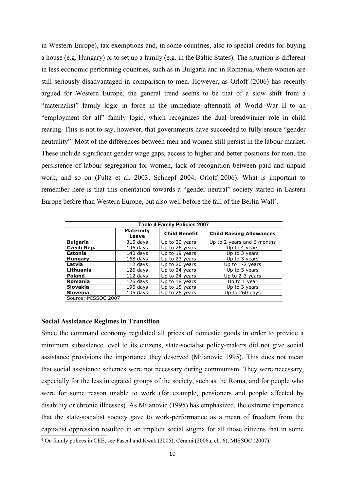in Western Europe), tax exemptions and, in some countries, also to special credits for buying a house (e.g. Hungary) or to set up a family (e.g. in the Baltic States). The situation is different in less economic performing countries, such as in Bulgaria and in Romania, where women are still seriously disadvantaged in comparison to men. However, as Orloff (2006) has recently argued for Western Europe, the general trend seems to be that of a slow shift from a "maternalist" family logic in force in the immediate aftermath of World War II to an "employment for all" family logic, which recognizes the dual breadwinner role in child rearing. This is not to say, however, that governments have succeeded to fully ensure "gender neutrality". Most of the differences between men and women still persist in the labour market. These include significant gender wage gaps, access to higher and better positions for men, the persistence of labour segregation for women, lack of recognition between paid and unpaid work, and so on (Fultz et al. 2003; Schnepf 2004; Orloff 2006). What is important to remember here is that this orientation towards a "gender neutral" society started in Eastern Europe before than Western Europe, but also well before the fall of the Berlin Wall<sup>8</sup>.

| <b>Table 4 Family Policies 2007</b> |                           |                      |                                 |  |  |  |  |  |  |
|-------------------------------------|---------------------------|----------------------|---------------------------------|--|--|--|--|--|--|
|                                     | <b>Maternity</b><br>Leave | <b>Child Benefit</b> | <b>Child Raising Allowances</b> |  |  |  |  |  |  |
| <b>Bulgaria</b>                     | $315$ days                | Up to 20 years       | Up to 2 years and 6 months      |  |  |  |  |  |  |
| Czech Rep.                          | $196$ days                | Up to 26 years       | Up to 4 years                   |  |  |  |  |  |  |
| Estonia                             | $140$ days                | Up to 19 years       | Up to 3 years                   |  |  |  |  |  |  |
| <b>Hungary</b>                      | $168$ days                | Up to 23 years       | Up to 3 years                   |  |  |  |  |  |  |
| Latvia                              | $112$ davs                | Up to 20 years       | Up to $1-2$ years               |  |  |  |  |  |  |
| Lithuania                           | $126$ days                | Up to 24 years       | Up to 3 years                   |  |  |  |  |  |  |
| Poland                              | $112$ days                | Up to 24 years       | Up to 2-3 years                 |  |  |  |  |  |  |
| Romania                             | $126$ days                | Up to 18 years       | Up to 1 year                    |  |  |  |  |  |  |
| <b>Slovakia</b>                     | $196$ days                | Up to 15 years       | Up to 3 years                   |  |  |  |  |  |  |
| <b>Slovenia</b>                     | $105$ davs                | Up to 26 years       | Up to 260 days                  |  |  |  |  |  |  |
| Source: MISSOC 2007                 |                           |                      |                                 |  |  |  |  |  |  |

### **Social Assistance Regimes in Transition**

Since the command economy regulated all prices of domestic goods in order to provide a minimum subsistence level to its citizens, state-socialist policy-makers did not give social assistance provisions the importance they deserved (Milanovic 1995). This does not mean that social assistance schemes were not necessary during communism. They were necessary, especially for the less integrated groups of the society, such as the Roma, and for people who were for some reason unable to work (for example, pensioners and people affected by disability or chronic illnesses). As Milanovic (1995) has emphasized, the extreme importance that the state-socialist society gave to work-performance as a mean of freedom from the capitalist oppression resulted in an implicit social stigma for all those citizens that in some

<sup>&</sup>lt;sup>8</sup> On family polices in CEE, see Pascal and Kwak (2005), Cerami (2006a, ch. 6), MISSOC (2007).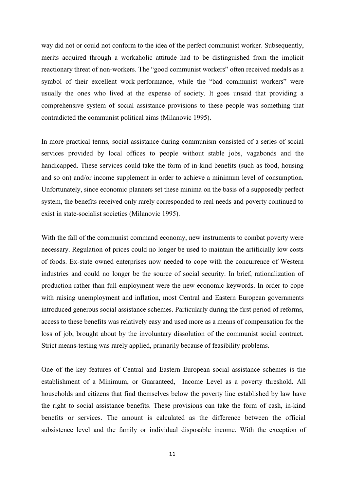way did not or could not conform to the idea of the perfect communist worker. Subsequently, merits acquired through a workaholic attitude had to be distinguished from the implicit reactionary threat of non-workers. The "good communist workers" often received medals as a symbol of their excellent work-performance, while the "bad communist workers" were usually the ones who lived at the expense of society. It goes unsaid that providing a comprehensive system of social assistance provisions to these people was something that contradicted the communist political aims (Milanovic 1995).

In more practical terms, social assistance during communism consisted of a series of social services provided by local offices to people without stable jobs, vagabonds and the handicapped. These services could take the form of in-kind benefits (such as food, housing and so on) and/or income supplement in order to achieve a minimum level of consumption. Unfortunately, since economic planners set these minima on the basis of a supposedly perfect system, the benefits received only rarely corresponded to real needs and poverty continued to exist in state-socialist societies (Milanovic 1995).

With the fall of the communist command economy, new instruments to combat poverty were necessary. Regulation of prices could no longer be used to maintain the artificially low costs of foods. Ex-state owned enterprises now needed to cope with the concurrence of Western industries and could no longer be the source of social security. In brief, rationalization of production rather than full-employment were the new economic keywords. In order to cope with raising unemployment and inflation, most Central and Eastern European governments introduced generous social assistance schemes. Particularly during the first period of reforms, access to these benefits was relatively easy and used more as a means of compensation for the loss of job, brought about by the involuntary dissolution of the communist social contract. Strict means-testing was rarely applied, primarily because of feasibility problems.

One of the key features of Central and Eastern European social assistance schemes is the establishment of a Minimum, or Guaranteed, Income Level as a poverty threshold. All households and citizens that find themselves below the poverty line established by law have the right to social assistance benefits. These provisions can take the form of cash, in-kind benefits or services. The amount is calculated as the difference between the official subsistence level and the family or individual disposable income. With the exception of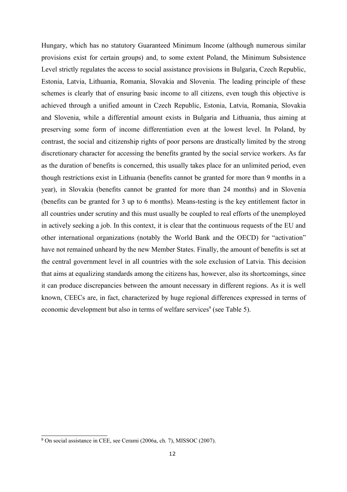Hungary, which has no statutory Guaranteed Minimum Income (although numerous similar provisions exist for certain groups) and, to some extent Poland, the Minimum Subsistence Level strictly regulates the access to social assistance provisions in Bulgaria, Czech Republic, Estonia, Latvia, Lithuania, Romania, Slovakia and Slovenia. The leading principle of these schemes is clearly that of ensuring basic income to all citizens, even tough this objective is achieved through a unified amount in Czech Republic, Estonia, Latvia, Romania, Slovakia and Slovenia, while a differential amount exists in Bulgaria and Lithuania, thus aiming at preserving some form of income differentiation even at the lowest level. In Poland, by contrast, the social and citizenship rights of poor persons are drastically limited by the strong discretionary character for accessing the benefits granted by the social service workers. As far as the duration of benefits is concerned, this usually takes place for an unlimited period, even though restrictions exist in Lithuania (benefits cannot be granted for more than 9 months in a year), in Slovakia (benefits cannot be granted for more than 24 months) and in Slovenia (benefits can be granted for 3 up to 6 months). Means-testing is the key entitlement factor in all countries under scrutiny and this must usually be coupled to real efforts of the unemployed in actively seeking a job. In this context, it is clear that the continuous requests of the EU and other international organizations (notably the World Bank and the OECD) for "activation" have not remained unheard by the new Member States. Finally, the amount of benefits is set at the central government level in all countries with the sole exclusion of Latvia. This decision that aims at equalizing standards among the citizens has, however, also its shortcomings, since it can produce discrepancies between the amount necessary in different regions. As it is well known, CEECs are, in fact, characterized by huge regional differences expressed in terms of economic development but also in terms of welfare services<sup>9</sup> (see Table 5).

<sup>9</sup> On social assistance in CEE, see Cerami (2006a, ch. 7), MISSOC (2007).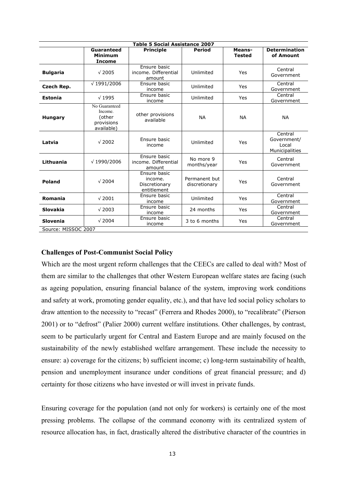| <b>Table 5 Social Assistance 2007</b> |                                                                |                                                         |                                |                         |                                                   |  |  |  |  |  |  |
|---------------------------------------|----------------------------------------------------------------|---------------------------------------------------------|--------------------------------|-------------------------|---------------------------------------------------|--|--|--|--|--|--|
|                                       | Guaranteed<br><b>Minimum</b><br><b>Income</b>                  | <b>Principle</b>                                        | <b>Period</b>                  | Means-<br><b>Tested</b> | <b>Determination</b><br>of Amount                 |  |  |  |  |  |  |
| <b>Bulgaria</b>                       | $\sqrt{2005}$                                                  | Ensure basic<br>income. Differential<br>amount          | Unlimited                      | Yes                     | Central<br>Government                             |  |  |  |  |  |  |
| Czech Rep.                            | $\sqrt{1991/2006}$                                             | Ensure basic<br>income                                  | Unlimited                      | Yes                     | Central<br>Government                             |  |  |  |  |  |  |
| <b>Estonia</b>                        | $\sqrt{1995}$                                                  | Ensure basic<br>income                                  | Unlimited                      | Yes                     | Central<br>Government                             |  |  |  |  |  |  |
| <b>Hungary</b>                        | No Guaranteed<br>Income.<br>(other<br>provisions<br>available) | other provisions<br>available                           | <b>NA</b>                      | <b>NA</b>               | <b>NA</b>                                         |  |  |  |  |  |  |
| Latvia                                | $\sqrt{2002}$                                                  | Ensure basic<br>income                                  | Unlimited                      | Yes                     | Central<br>Government/<br>Local<br>Municipalities |  |  |  |  |  |  |
| Lithuania                             | $\sqrt{1990/2006}$                                             | Ensure basic<br>income. Differential<br>amount          | No more 9<br>months/year       | Yes                     | Central<br>Government                             |  |  |  |  |  |  |
| <b>Poland</b>                         | $\sqrt{2004}$                                                  | Ensure basic<br>income.<br>Discretionary<br>entitlement | Permanent but<br>discretionary | Yes                     | Central<br>Government                             |  |  |  |  |  |  |
| Romania                               | $\sqrt{2001}$                                                  | Ensure basic<br>income                                  | Unlimited                      | Yes                     | Central<br>Government                             |  |  |  |  |  |  |
| <b>Slovakia</b>                       | $\sqrt{2003}$                                                  | Ensure basic<br>income                                  | 24 months                      | Yes                     | Central<br>Government                             |  |  |  |  |  |  |
| Slovenia                              | $\sqrt{2004}$                                                  | Ensure basic<br>income                                  | 3 to 6 months                  | Yes                     | Central<br>Government                             |  |  |  |  |  |  |
| Source: MISSOC 2007                   |                                                                |                                                         |                                |                         |                                                   |  |  |  |  |  |  |

Source: MISSOC 2007

### **Challenges of Post-Communist Social Policy**

Which are the most urgent reform challenges that the CEECs are called to deal with? Most of them are similar to the challenges that other Western European welfare states are facing (such as ageing population, ensuring financial balance of the system, improving work conditions and safety at work, promoting gender equality, etc.), and that have led social policy scholars to draw attention to the necessity to "recast" (Ferrera and Rhodes 2000), to "recalibrate" (Pierson 2001) or to "defrost" (Palier 2000) current welfare institutions. Other challenges, by contrast, seem to be particularly urgent for Central and Eastern Europe and are mainly focused on the sustainability of the newly established welfare arrangement. These include the necessity to ensure: a) coverage for the citizens; b) sufficient income; c) long-term sustainability of health, pension and unemployment insurance under conditions of great financial pressure; and d) certainty for those citizens who have invested or will invest in private funds.

Ensuring coverage for the population (and not only for workers) is certainly one of the most pressing problems. The collapse of the command economy with its centralized system of resource allocation has, in fact, drastically altered the distributive character of the countries in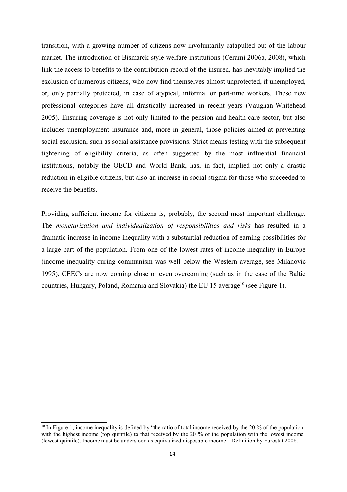transition, with a growing number of citizens now involuntarily catapulted out of the labour market. The introduction of Bismarck-style welfare institutions (Cerami 2006a, 2008), which link the access to benefits to the contribution record of the insured, has inevitably implied the exclusion of numerous citizens, who now find themselves almost unprotected, if unemployed, or, only partially protected, in case of atypical, informal or part-time workers. These new professional categories have all drastically increased in recent years (Vaughan-Whitehead 2005). Ensuring coverage is not only limited to the pension and health care sector, but also includes unemployment insurance and, more in general, those policies aimed at preventing social exclusion, such as social assistance provisions. Strict means-testing with the subsequent tightening of eligibility criteria, as often suggested by the most influential financial institutions, notably the OECD and World Bank, has, in fact, implied not only a drastic reduction in eligible citizens, but also an increase in social stigma for those who succeeded to receive the benefits.

Providing sufficient income for citizens is, probably, the second most important challenge. The *monetarization and individualization of responsibilities and risks* has resulted in a dramatic increase in income inequality with a substantial reduction of earning possibilities for a large part of the population. From one of the lowest rates of income inequality in Europe (income inequality during communism was well below the Western average, see Milanovic 1995), CEECs are now coming close or even overcoming (such as in the case of the Baltic countries, Hungary, Poland, Romania and Slovakia) the EU 15 average<sup>10</sup> (see Figure 1).

<sup>&</sup>lt;sup>10</sup> In Figure 1, income inequality is defined by "the ratio of total income received by the 20 % of the population with the highest income (top quintile) to that received by the 20 % of the population with the lowest income (lowest quintile). Income must be understood as equivalized disposable income". Definition by Eurostat 2008.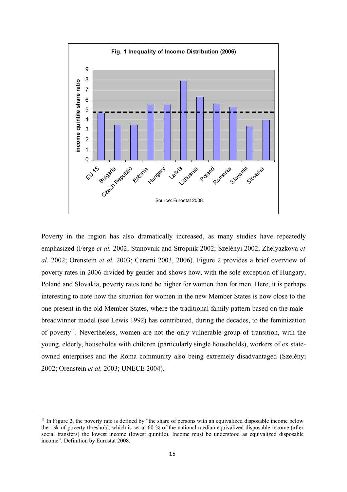

Poverty in the region has also dramatically increased, as many studies have repeatedly emphasized (Ferge *et al.* 2002; Stanovnik and Stropnik 2002; Szelényi 2002; Zhelyazkova *et al.* 2002; Orenstein *et al.* 2003; Cerami 2003, 2006). Figure 2 provides a brief overview of poverty rates in 2006 divided by gender and shows how, with the sole exception of Hungary, Poland and Slovakia, poverty rates tend be higher for women than for men. Here, it is perhaps interesting to note how the situation for women in the new Member States is now close to the one present in the old Member States, where the traditional family pattern based on the malebreadwinner model (see Lewis 1992) has contributed, during the decades, to the feminization of poverty<sup>11</sup>. Nevertheless, women are not the only vulnerable group of transition, with the young, elderly, households with children (particularly single households), workers of ex stateowned enterprises and the Roma community also being extremely disadvantaged (Szelényi 2002; Orenstein *et al.* 2003; UNECE 2004).

 $11$  In Figure 2, the poverty rate is defined by "the share of persons with an equivalized disposable income below the risk-of-poverty threshold, which is set at 60 % of the national median equivalized disposable income (after social transfers) the lowest income (lowest quintile). Income must be understood as equivalized disposable income". Definition by Eurostat 2008.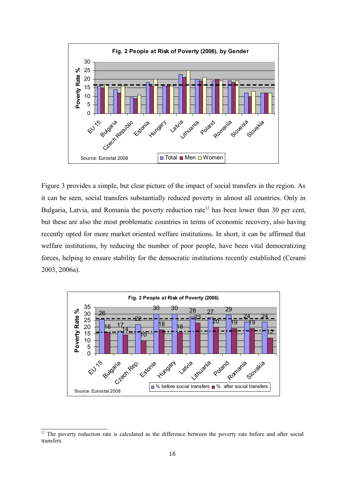

Figure 3 provides a simple, but clear picture of the impact of social transfers in the region. As it can be seen, social transfers substantially reduced poverty in almost all countries. Only in Bulgaria, Latvia, and Romania the poverty reduction rate<sup>12</sup> has been lower than 30 per cent, but these are also the most problematic countries in terms of economic recovery, also having recently opted for more market oriented welfare institutions. In short, it can be affirmed that welfare institutions, by reducing the number of poor people, have been vital democratizing forces, helping to ensure stability for the democratic institutions recently established (Cerami 2003, 2006a).



<sup>&</sup>lt;sup>12</sup> The poverty reduction rate is calculated as the difference between the poverty rate before and after social transfers.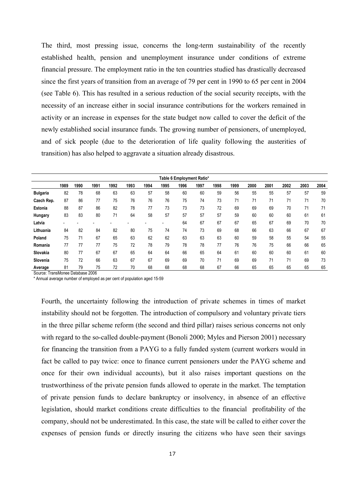The third, most pressing issue, concerns the long-term sustainability of the recently established health, pension and unemployment insurance under conditions of extreme financial pressure. The employment ratio in the ten countries studied has drastically decreased since the first years of transition from an average of 79 per cent in 1990 to 65 per cent in 2004 (see Table 6). This has resulted in a serious reduction of the social security receipts, with the necessity of an increase either in social insurance contributions for the workers remained in activity or an increase in expenses for the state budget now called to cover the deficit of the newly established social insurance funds. The growing number of pensioners, of unemployed, and of sick people (due to the deterioration of life quality following the austerities of transition) has also helped to aggravate a situation already disastrous.

| Table 6 Employment Ratio* |                          |      |      |      |                          |      |      |      |      |      |      |      |      |      |      |      |
|---------------------------|--------------------------|------|------|------|--------------------------|------|------|------|------|------|------|------|------|------|------|------|
|                           | 1989                     | 1990 | 1991 | 1992 | 1993                     | 1994 | 1995 | 1996 | 1997 | 1998 | 1999 | 2000 | 2001 | 2002 | 2003 | 2004 |
| <b>Bulgaria</b>           | 82                       | 78   | 68   | 63   | 63                       | 57   | 58   | 60   | 60   | 59   | 56   | 55   | 55   | 57   | 57   | 59   |
| Czech Rep.                | 87                       | 86   | 77   | 75   | 76                       | 76   | 76   | 75   | 74   | 73   | 71   | 71   | 71   | 71   | 71   | 70   |
| Estonia                   | 88                       | 87   | 86   | 82   | 78                       | 77   | 73   | 73   | 73   | 72   | 69   | 69   | 69   | 70   | 71   | 71   |
| Hungary                   | 83                       | 83   | 80   | 71   | 64                       | 58   | 57   | 57   | 57   | 57   | 59   | 60   | 60   | 60   | 61   | 61   |
| Latvia                    | $\overline{\phantom{a}}$ |      |      |      | $\overline{\phantom{a}}$ |      |      | 64   | 67   | 67   | 67   | 65   | 67   | 69   | 70   | 70   |
| Lithuania                 | 84                       | 82   | 84   | 82   | 80                       | 75   | 74   | 74   | 73   | 69   | 68   | 66   | 63   | 66   | 67   | 67   |
| Poland                    | 75                       | 71   | 67   | 65   | 63                       | 62   | 62   | 63   | 63   | 63   | 60   | 59   | 58   | 55   | 54   | 55   |
| Romania                   | 77                       | 77   | 77   | 75   | 72                       | 78   | 79   | 78   | 78   | 77   | 76   | 76   | 75   | 66   | 66   | 65   |
| Slovakia                  | 80                       | 77   | 67   | 67   | 65                       | 64   | 64   | 66   | 65   | 64   | 61   | 60   | 60   | 60   | 61   | 60   |
| Slovenia                  | 75                       | 72   | 66   | 63   | 67                       | 67   | 69   | 69   | 70   | 71   | 69   | 69   | 71   | 71   | 69   | 73   |
| Average                   | 81                       | 79   | 75   | 72   | 70                       | 68   | 68   | 68   | 68   | 67   | 66   | 65   | 65   | 65   | 65   | 65   |

Source: TransMonee Database 2006

\* Annual average number of employed as per cent of population aged 15-59

Fourth, the uncertainty following the introduction of private schemes in times of market instability should not be forgotten. The introduction of compulsory and voluntary private tiers in the three pillar scheme reform (the second and third pillar) raises serious concerns not only with regard to the so-called double-payment (Bonoli 2000; Myles and Pierson 2001) necessary for financing the transition from a PAYG to a fully funded system (current workers would in fact be called to pay twice: once to finance current pensioners under the PAYG scheme and once for their own individual accounts), but it also raises important questions on the trustworthiness of the private pension funds allowed to operate in the market. The temptation of private pension funds to declare bankruptcy or insolvency, in absence of an effective legislation, should market conditions create difficulties to the financial profitability of the company, should not be underestimated. In this case, the state will be called to either cover the expenses of pension funds or directly insuring the citizens who have seen their savings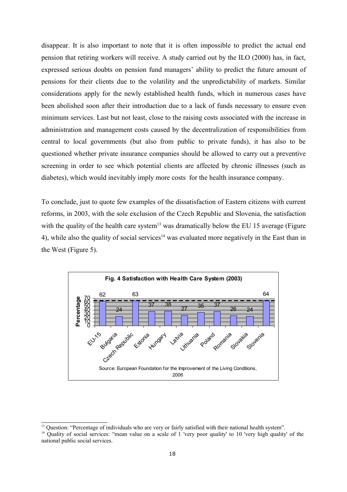disappear. It is also important to note that it is often impossible to predict the actual end pension that retiring workers will receive. A study carried out by the ILO (2000) has, in fact, expressed serious doubts on pension fund managers' ability to predict the future amount of pensions for their clients due to the volatility and the unpredictability of markets. Similar considerations apply for the newly established health funds, which in numerous cases have been abolished soon after their introduction due to a lack of funds necessary to ensure even minimum services. Last but not least, close to the raising costs associated with the increase in administration and management costs caused by the decentralization of responsibilities from central to local governments (but also from public to private funds), it has also to be questioned whether private insurance companies should be allowed to carry out a preventive screening in order to see which potential clients are affected by chronic illnesses (such as diabetes), which would inevitably imply more costs for the health insurance company.

To conclude, just to quote few examples of the dissatisfaction of Eastern citizens with current reforms, in 2003, with the sole exclusion of the Czech Republic and Slovenia, the satisfaction with the quality of the health care system<sup>13</sup> was dramatically below the EU 15 average (Figure 4), while also the quality of social services<sup>14</sup> was evaluated more negatively in the East than in the West (Figure 5).



<sup>&</sup>lt;sup>13</sup> Question: "Percentage of individuals who are very or fairly satisfied with their national health system".

<sup>&</sup>lt;sup>14</sup> Quality of social services: "mean value on a scale of 1 'very poor quality' to 10 'very high quality' of the national public social services.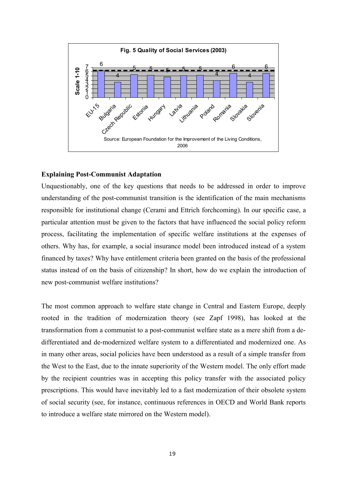

### **Explaining Post-Communist Adaptation**

Unquestionably, one of the key questions that needs to be addressed in order to improve understanding of the post-communist transition is the identification of the main mechanisms responsible for institutional change (Cerami and Ettrich forchcoming). In our specific case, a particular attention must be given to the factors that have influenced the social policy reform process, facilitating the implementation of specific welfare institutions at the expenses of others. Why has, for example, a social insurance model been introduced instead of a system financed by taxes? Why have entitlement criteria been granted on the basis of the professional status instead of on the basis of citizenship? In short, how do we explain the introduction of new post-communist welfare institutions?

The most common approach to welfare state change in Central and Eastern Europe, deeply rooted in the tradition of modernization theory (see Zapf 1998), has looked at the transformation from a communist to a post-communist welfare state as a mere shift from a dedifferentiated and de-modernized welfare system to a differentiated and modernized one. As in many other areas, social policies have been understood as a result of a simple transfer from the West to the East, due to the innate superiority of the Western model. The only effort made by the recipient countries was in accepting this policy transfer with the associated policy prescriptions. This would have inevitably led to a fast modernization of their obsolete system of social security (see, for instance, continuous references in OECD and World Bank reports to introduce a welfare state mirrored on the Western model).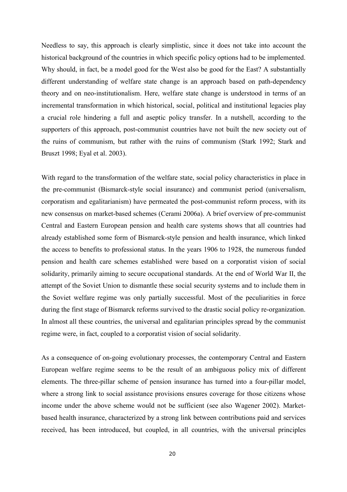Needless to say, this approach is clearly simplistic, since it does not take into account the historical background of the countries in which specific policy options had to be implemented. Why should, in fact, be a model good for the West also be good for the East? A substantially different understanding of welfare state change is an approach based on path-dependency theory and on neo-institutionalism. Here, welfare state change is understood in terms of an incremental transformation in which historical, social, political and institutional legacies play a crucial role hindering a full and aseptic policy transfer. In a nutshell, according to the supporters of this approach, post-communist countries have not built the new society out of the ruins of communism, but rather with the ruins of communism (Stark 1992; Stark and Bruszt 1998; Eyal et al. 2003).

With regard to the transformation of the welfare state, social policy characteristics in place in the pre-communist (Bismarck-style social insurance) and communist period (universalism, corporatism and egalitarianism) have permeated the post-communist reform process, with its new consensus on market-based schemes (Cerami 2006a). A brief overview of pre-communist Central and Eastern European pension and health care systems shows that all countries had already established some form of Bismarck-style pension and health insurance, which linked the access to benefits to professional status. In the years 1906 to 1928, the numerous funded pension and health care schemes established were based on a corporatist vision of social solidarity, primarily aiming to secure occupational standards. At the end of World War II, the attempt of the Soviet Union to dismantle these social security systems and to include them in the Soviet welfare regime was only partially successful. Most of the peculiarities in force during the first stage of Bismarck reforms survived to the drastic social policy re-organization. In almost all these countries, the universal and egalitarian principles spread by the communist regime were, in fact, coupled to a corporatist vision of social solidarity.

As a consequence of on-going evolutionary processes, the contemporary Central and Eastern European welfare regime seems to be the result of an ambiguous policy mix of different elements. The three-pillar scheme of pension insurance has turned into a four-pillar model, where a strong link to social assistance provisions ensures coverage for those citizens whose income under the above scheme would not be sufficient (see also Wagener 2002). Marketbased health insurance, characterized by a strong link between contributions paid and services received, has been introduced, but coupled, in all countries, with the universal principles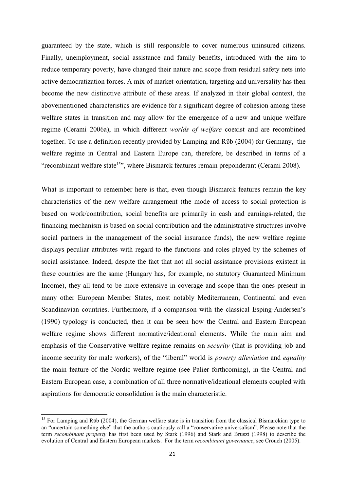guaranteed by the state, which is still responsible to cover numerous uninsured citizens. Finally, unemployment, social assistance and family benefits, introduced with the aim to reduce temporary poverty, have changed their nature and scope from residual safety nets into active democratization forces. A mix of market-orientation, targeting and universality has then become the new distinctive attribute of these areas. If analyzed in their global context, the abovementioned characteristics are evidence for a significant degree of cohesion among these welfare states in transition and may allow for the emergence of a new and unique welfare regime (Cerami 2006a), in which different *worlds of welfare* coexist and are recombined together. To use a definition recently provided by Lamping and Rϋb (2004) for Germany, the welfare regime in Central and Eastern Europe can, therefore, be described in terms of a "recombinant welfare state<sup>15"</sup>, where Bismarck features remain preponderant (Cerami 2008).

What is important to remember here is that, even though Bismarck features remain the key characteristics of the new welfare arrangement (the mode of access to social protection is based on work/contribution, social benefits are primarily in cash and earnings-related, the financing mechanism is based on social contribution and the administrative structures involve social partners in the management of the social insurance funds), the new welfare regime displays peculiar attributes with regard to the functions and roles played by the schemes of social assistance. Indeed, despite the fact that not all social assistance provisions existent in these countries are the same (Hungary has, for example, no statutory Guaranteed Minimum Income), they all tend to be more extensive in coverage and scope than the ones present in many other European Member States, most notably Mediterranean, Continental and even Scandinavian countries. Furthermore, if a comparison with the classical Esping-Andersen's (1990) typology is conducted, then it can be seen how the Central and Eastern European welfare regime shows different normative/ideational elements. While the main aim and emphasis of the Conservative welfare regime remains on *security* (that is providing job and income security for male workers), of the "liberal" world is *poverty alleviation* and *equality* the main feature of the Nordic welfare regime (see Palier forthcoming), in the Central and Eastern European case, a combination of all three normative/ideational elements coupled with aspirations for democratic consolidation is the main characteristic.

<sup>&</sup>lt;sup>15</sup> For Lamping and Rüb (2004), the German welfare state is in transition from the classical Bismarckian type to an "uncertain something else" that the authors cautiously call a "conservative universalism". Please note that the term *recombinant property* has first been used by Stark (1996) and Stark and Bruszt (1998) to describe the evolution of Central and Eastern European markets. For the term *recombinant governance*, see Crouch (2005).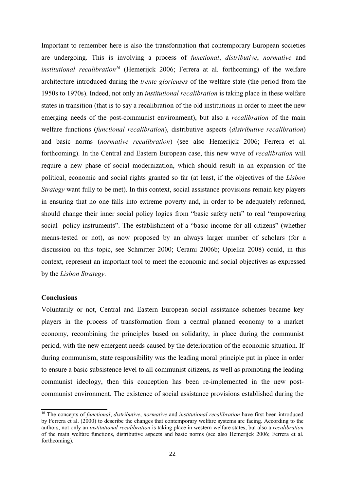Important to remember here is also the transformation that contemporary European societies are undergoing. This is involving a process of *functional*, *distributive*, *normative* and *institutional recalibration<sup>16</sup>* (Hemerijck 2006; Ferrera at al. forthcoming) of the welfare architecture introduced during the *trente glorieuses* of the welfare state (the period from the 1950s to 1970s). Indeed, not only an *institutional recalibration* is taking place in these welfare states in transition (that is to say a recalibration of the old institutions in order to meet the new emerging needs of the post-communist environment), but also a *recalibration* of the main welfare functions (*functional recalibration*), distributive aspects (*distributive recalibration*) and basic norms (*normative recalibration*) (see also Hemerijck 2006; Ferrera et al. forthcoming). In the Central and Eastern European case, this new wave of *recalibration* will require a new phase of social modernization, which should result in an expansion of the political, economic and social rights granted so far (at least, if the objectives of the *Lisbon Strategy* want fully to be met). In this context, social assistance provisions remain key players in ensuring that no one falls into extreme poverty and, in order to be adequately reformed, should change their inner social policy logics from "basic safety nets" to real "empowering social policy instruments". The establishment of a "basic income for all citizens" (whether means-tested or not), as now proposed by an always larger number of scholars (for a discussion on this topic, see Schmitter 2000; Cerami 2006b; Opielka 2008) could, in this context, represent an important tool to meet the economic and social objectives as expressed by the *Lisbon Strategy*.

### **Conclusions**

Voluntarily or not, Central and Eastern European social assistance schemes became key players in the process of transformation from a central planned economy to a market economy, recombining the principles based on solidarity, in place during the communist period, with the new emergent needs caused by the deterioration of the economic situation. If during communism, state responsibility was the leading moral principle put in place in order to ensure a basic subsistence level to all communist citizens, as well as promoting the leading communist ideology, then this conception has been re-implemented in the new postcommunist environment. The existence of social assistance provisions established during the

<sup>16</sup> The concepts of *functional*, *distributive*, *normative* and *institutional recalibration* have first been introduced by Ferrera et al. (2000) to describe the changes that contemporary welfare systems are facing. According to the authors, not only an *institutional recalibration* is taking place in western welfare states, but also a *recalibration* of the main welfare functions, distributive aspects and basic norms (see also Hemerijck 2006; Ferrera et al. forthcoming).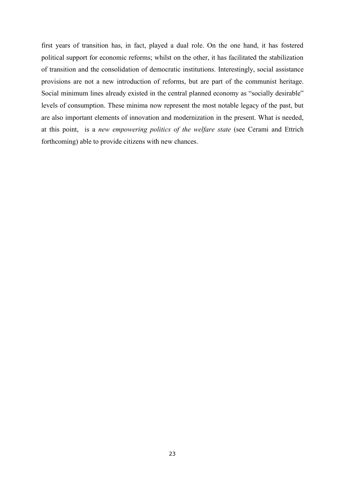first years of transition has, in fact, played a dual role. On the one hand, it has fostered political support for economic reforms; whilst on the other, it has facilitated the stabilization of transition and the consolidation of democratic institutions. Interestingly, social assistance provisions are not a new introduction of reforms, but are part of the communist heritage. Social minimum lines already existed in the central planned economy as "socially desirable" levels of consumption. These minima now represent the most notable legacy of the past, but are also important elements of innovation and modernization in the present. What is needed, at this point, is a *new empowering politics of the welfare state* (see Cerami and Ettrich forthcoming) able to provide citizens with new chances.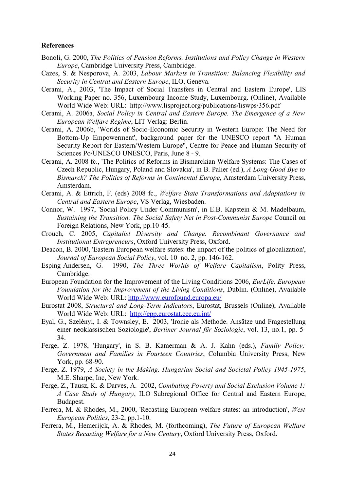### **References**

- Bonoli, G. 2000, *The Politics of Pension Reforms. Institutions and Policy Change in Western Europe*, Cambridge University Press, Cambridge.
- Cazes, S. & Nesporova, A. 2003, *Labour Markets in Transition: Balancing Flexibility and Security in Central and Eastern Europe*, ILO, Geneva.
- Cerami, A., 2003, 'The Impact of Social Transfers in Central and Eastern Europe', LIS Working Paper no. 356, Luxembourg Income Study, Luxembourg. (Online), Available World Wide Web: URL: http://www.lisproject.org/publications/liswps/356.pdf
- Cerami, A. 2006a, *Social Policy in Central and Eastern Europe. The Emergence of a New European Welfare Regime*, LIT Verlag: Berlin.
- Cerami, A. 2006b, 'Worlds of Socio-Economic Security in Western Europe: The Need for Bottom-Up Empowerment', background paper for the UNESCO report "A Human Security Report for Eastern/Western Europe", Centre for Peace and Human Security of Sciences Po/UNESCO UNESCO, Paris, June 8 - 9.
- Cerami, A. 2008 fc., 'The Politics of Reforms in Bismarckian Welfare Systems: The Cases of Czech Republic, Hungary, Poland and Slovakia', in B. Palier (ed.), *A Long-Good Bye to Bismarck? The Politics of Reforms in Continental Europe*, Amsterdam University Press, Amsterdam.
- Cerami, A. & Ettrich, F. (eds) 2008 fc., *Welfare State Transformations and Adaptations in Central and Eastern Europe*, VS Verlag, Wiesbaden.
- Connor, W. 1997, 'Social Policy Under Communism', in E.B. Kapstein & M. Madelbaum, *Sustaining the Transition: The Social Safety Net in Post-Communist Europe* Council on Foreign Relations, New York, pp.10-45.
- Crouch, C. 2005, *Capitalist Diversity and Change. Recombinant Governance and Institutional Entrepreneurs*, Oxford University Press, Oxford.
- Deacon, B. 2000, 'Eastern European welfare states: the impact of the politics of globalization', *Journal of European Social Policy*, vol. 10 no. 2, pp. 146-162.
- Esping-Andersen, G. 1990, *The Three Worlds of Welfare Capitalism*, Polity Press, Cambridge.
- European Foundation for the Improvement of the Living Conditions 2006, *EurLife, European Foundation for the Improvement of the Living Conditions*, Dublin. (Online), Available World Wide Web: URL: http://www.eurofound.europa.eu/
- Eurostat 2008, *Structural and Long-Term Indicators*, Eurostat, Brussels (Online), Available World Wide Web: URL: http://epp.eurostat.cec.eu.int/
- Eyal, G., Szelényi, I. & Townsley, E. 2003, 'Ironie als Methode. Ansätze und Fragestellung einer neoklassischen Soziologie', *Berliner Journal für Soziologie*, vol. 13, no.1, pp. 5- 34.
- Ferge, Z. 1978, 'Hungary', in S. B. Kamerman & A. J. Kahn (eds.), *Family Policy; Government and Families in Fourteen Countries*, Columbia University Press, New York, pp. 68-90.
- Ferge, Z. 1979, *A Society in the Making. Hungarian Social and Societal Policy 1945-1975*, M.E. Sharpe, Inc, New York.
- Ferge, Z., Tausz, K. & Darves, A. 2002, *Combating Poverty and Social Exclusion Volume 1: A Case Study of Hungary*, ILO Subregional Office for Central and Eastern Europe, Budapest.
- Ferrera, M. & Rhodes, M., 2000, 'Recasting European welfare states: an introduction', *West European Politics*, 23-2, pp.1-10.
- Ferrera, M., Hemerijck, A. & Rhodes, M. (forthcoming), *The Future of European Welfare States Recasting Welfare for a New Century*, Oxford University Press, Oxford.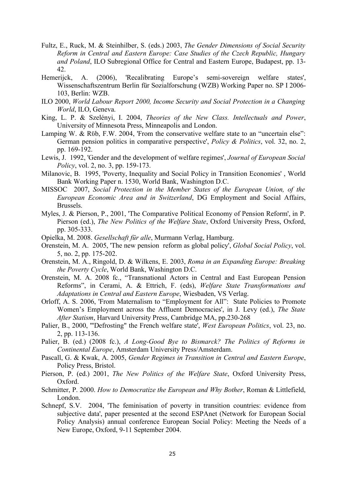- Fultz, E., Ruck, M. & Steinhilber, S. (eds.) 2003, *The Gender Dimensions of Social Security Reform in Central and Eastern Europe: Case Studies of the Czech Republic, Hungary and Poland*, ILO Subregional Office for Central and Eastern Europe, Budapest, pp. 13- 42.
- Hemerijck, A. (2006), 'Recalibrating Europe's semi-sovereign welfare states', Wissenschaftszentrum Berlin für Sozialforschung (WZB) Working Paper no. SP I 2006- 103, Berlin: WZB.
- ILO 2000, *World Labour Report 2000, Income Security and Social Protection in a Changing World*, ILO, Geneva.
- King, L. P. & Szelényi, I. 2004, *Theories of the New Class. Intellectuals and Power*, University of Minnesota Press, Minneapolis and London.
- Lamping W. & Rüb, F.W. 2004, 'From the conservative welfare state to an "uncertain else": German pension politics in comparative perspective', *Policy & Politics*, vol. 32, no. 2, pp. 169-192.
- Lewis, J. 1992, 'Gender and the development of welfare regimes', *Journal of European Social Policy*, vol. 2, no. 3, pp. 159-173.
- Milanovic, B. 1995, 'Poverty, Inequality and Social Policy in Transition Economies' , World Bank Working Paper n. 1530, World Bank, Washington D.C.
- MISSOC 2007, *Social Protection in the Member States of the European Union, of the European Economic Area and in Switzerland*, DG Employment and Social Affairs, Brussels.
- Myles, J. & Pierson, P., 2001, 'The Comparative Political Economy of Pension Reform', in P. Pierson (ed.), *The New Politics of the Welfare State*, Oxford University Press, Oxford, pp. 305-333.
- Opielka, M. 2008. *Gesellschaft für alle*, Murmann Verlag, Hamburg.
- Orenstein, M. A. 2005, 'The new pension reform as global policy', *Global Social Policy*, vol. 5, no. 2, pp. 175-202.
- Orenstein, M. A., Ringold, D. & Wilkens, E. 2003, *Roma in an Expanding Europe: Breaking the Poverty Cycle*, World Bank, Washington D.C.
- Orenstein, M. A. 2008 fc., "Transnational Actors in Central and East European Pension Reforms", in Cerami, A. & Ettrich, F. (eds), *Welfare State Transformations and Adaptations in Central and Eastern Europe*, Wiesbaden, VS Verlag.
- Orloff, A. S. 2006, 'From Maternalism to "Employment for All": State Policies to Promote Women's Employment across the Affluent Democracies', in J. Levy (ed.), *The State After Statism*, Harvard University Press, Cambridge MA, pp.230-268
- Palier, B., 2000, '"Defrosting" the French welfare state', *West European Politics*, vol. 23, no. 2, pp. 113-136.
- Palier, B. (ed.) (2008 fc.), *A Long-Good Bye to Bismarck? The Politics of Reforms in Continental Europe*, Amsterdam University Press/Amsterdam.
- Pascall, G. & Kwak, A. 2005, *Gender Regimes in Transition in Central and Eastern Europe*, Policy Press, Bristol.
- Pierson, P. (ed.) 2001, *The New Politics of the Welfare State*, Oxford University Press, Oxford.
- Schmitter, P. 2000. *How to Democratize the European and Why Bother*, Roman & Littlefield, London.
- Schnepf, S.V. 2004, 'The feminisation of poverty in transition countries: evidence from subjective data', paper presented at the second ESPAnet (Network for European Social Policy Analysis) annual conference European Social Policy: Meeting the Needs of a New Europe, Oxford, 9-11 September 2004.